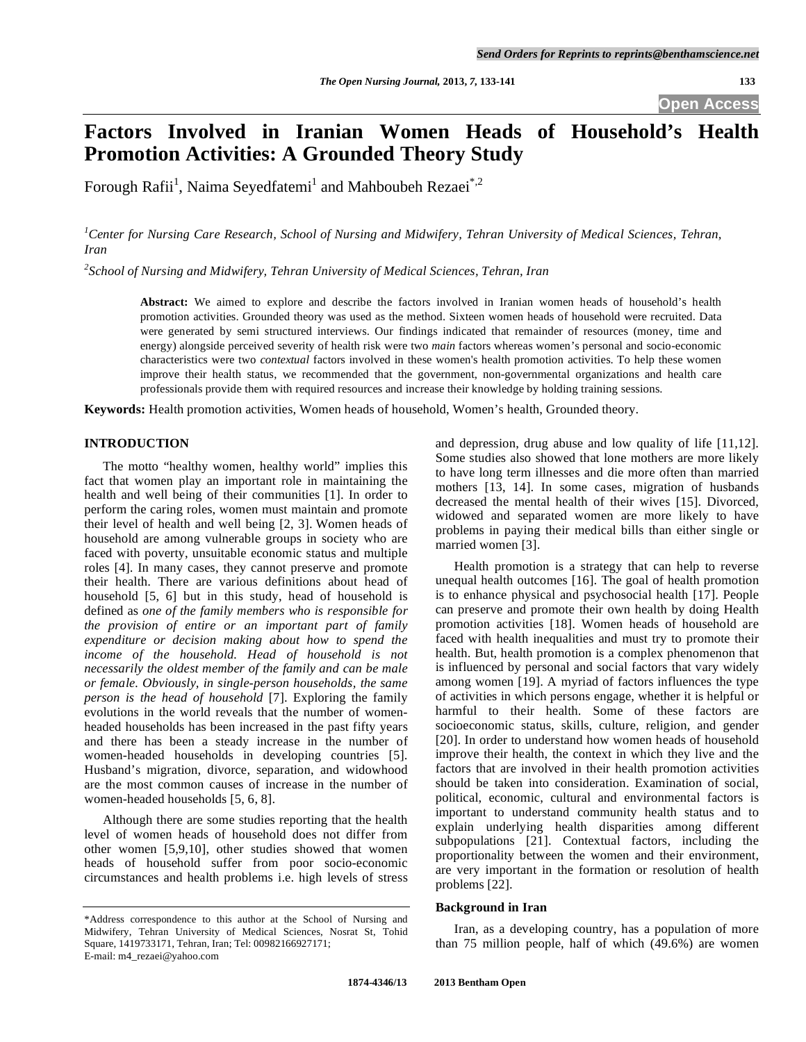**Open Access** 

# **Factors Involved in Iranian Women Heads of Household's Health Promotion Activities: A Grounded Theory Study**

Forough Rafii<sup>1</sup>, Naima Seyedfatemi<sup>1</sup> and Mahboubeh Rezaei<sup>\*,2</sup>

<sup>1</sup> Center for Nursing Care Research, School of Nursing and Midwifery, Tehran University of Medical Sciences, Tehran, *Iran* 

*2 School of Nursing and Midwifery, Tehran University of Medical Sciences, Tehran, Iran* 

**Abstract:** We aimed to explore and describe the factors involved in Iranian women heads of household's health promotion activities. Grounded theory was used as the method. Sixteen women heads of household were recruited. Data were generated by semi structured interviews. Our findings indicated that remainder of resources (money, time and energy) alongside perceived severity of health risk were two *main* factors whereas women's personal and socio-economic characteristics were two *contextual* factors involved in these women's health promotion activities. To help these women improve their health status, we recommended that the government, non-governmental organizations and health care professionals provide them with required resources and increase their knowledge by holding training sessions.

**Keywords:** Health promotion activities, Women heads of household, Women's health, Grounded theory.

# **INTRODUCTION**

 The motto "healthy women, healthy world" implies this fact that women play an important role in maintaining the health and well being of their communities [1]. In order to perform the caring roles, women must maintain and promote their level of health and well being [2, 3]. Women heads of household are among vulnerable groups in society who are faced with poverty, unsuitable economic status and multiple roles [4]. In many cases, they cannot preserve and promote their health. There are various definitions about head of household [5, 6] but in this study, head of household is defined as *one of the family members who is responsible for the provision of entire or an important part of family expenditure or decision making about how to spend the income of the household. Head of household is not necessarily the oldest member of the family and can be male or female. Obviously, in single-person households, the same person is the head of household* [7]. Exploring the family evolutions in the world reveals that the number of womenheaded households has been increased in the past fifty years and there has been a steady increase in the number of women-headed households in developing countries [5]. Husband's migration, divorce, separation, and widowhood are the most common causes of increase in the number of women-headed households [5, 6, 8].

 Although there are some studies reporting that the health level of women heads of household does not differ from other women [5,9,10], other studies showed that women heads of household suffer from poor socio-economic circumstances and health problems i.e. high levels of stress

and depression, drug abuse and low quality of life [11,12]. Some studies also showed that lone mothers are more likely to have long term illnesses and die more often than married mothers [13, 14]. In some cases, migration of husbands decreased the mental health of their wives [15]. Divorced, widowed and separated women are more likely to have problems in paying their medical bills than either single or married women [3].

 Health promotion is a strategy that can help to reverse unequal health outcomes [16]. The goal of health promotion is to enhance physical and psychosocial health [17]. People can preserve and promote their own health by doing Health promotion activities [18]. Women heads of household are faced with health inequalities and must try to promote their health. But, health promotion is a complex phenomenon that is influenced by personal and social factors that vary widely among women [19]. A myriad of factors influences the type of activities in which persons engage, whether it is helpful or harmful to their health. Some of these factors are socioeconomic status, skills, culture, religion, and gender [20]. In order to understand how women heads of household improve their health, the context in which they live and the factors that are involved in their health promotion activities should be taken into consideration. Examination of social, political, economic, cultural and environmental factors is important to understand community health status and to explain underlying health disparities among different subpopulations [21]. Contextual factors, including the proportionality between the women and their environment, are very important in the formation or resolution of health problems [22].

## **Background in Iran**

 Iran, as a developing country, has a population of more than 75 million people, half of which (49.6%) are women

<sup>\*</sup>Address correspondence to this author at the School of Nursing and Midwifery, Tehran University of Medical Sciences, Nosrat St, Tohid Square, 1419733171, Tehran, Iran; Tel: 00982166927171; E-mail: m4\_rezaei@yahoo.com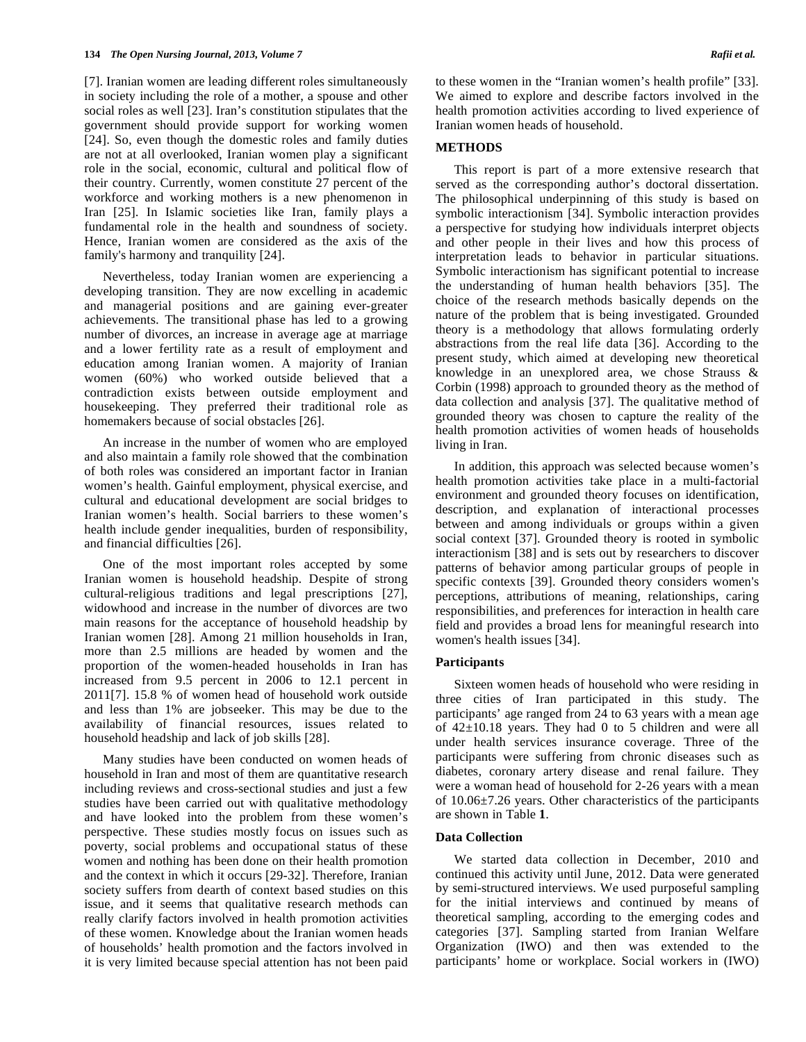[7]. Iranian women are leading different roles simultaneously in society including the role of a mother, a spouse and other social roles as well [23]. Iran's constitution stipulates that the government should provide support for working women [24]. So, even though the domestic roles and family duties are not at all overlooked, Iranian women play a significant role in the social, economic, cultural and political flow of their country. Currently, women constitute 27 percent of the workforce and working mothers is a new phenomenon in Iran [25]. In Islamic societies like Iran, family plays a fundamental role in the health and soundness of society. Hence, Iranian women are considered as the axis of the family's harmony and tranquility [24].

 Nevertheless, today Iranian women are experiencing a developing transition. They are now excelling in academic and managerial positions and are gaining ever-greater achievements. The transitional phase has led to a growing number of divorces, an increase in average age at marriage and a lower fertility rate as a result of employment and education among Iranian women. A majority of Iranian women (60%) who worked outside believed that a contradiction exists between outside employment and housekeeping. They preferred their traditional role as homemakers because of social obstacles [26].

 An increase in the number of women who are employed and also maintain a family role showed that the combination of both roles was considered an important factor in Iranian women's health. Gainful employment, physical exercise, and cultural and educational development are social bridges to Iranian women's health. Social barriers to these women's health include gender inequalities, burden of responsibility, and financial difficulties [26].

 One of the most important roles accepted by some Iranian women is household headship. Despite of strong cultural-religious traditions and legal prescriptions [27], widowhood and increase in the number of divorces are two main reasons for the acceptance of household headship by Iranian women [28]. Among 21 million households in Iran, more than 2.5 millions are headed by women and the proportion of the women-headed households in Iran has increased from 9.5 percent in 2006 to 12.1 percent in 2011[7]. 15.8 % of women head of household work outside and less than 1% are jobseeker. This may be due to the availability of financial resources, issues related to household headship and lack of job skills [28].

 Many studies have been conducted on women heads of household in Iran and most of them are quantitative research including reviews and cross-sectional studies and just a few studies have been carried out with qualitative methodology and have looked into the problem from these women's perspective. These studies mostly focus on issues such as poverty, social problems and occupational status of these women and nothing has been done on their health promotion and the context in which it occurs [29-32]. Therefore, Iranian society suffers from dearth of context based studies on this issue, and it seems that qualitative research methods can really clarify factors involved in health promotion activities of these women. Knowledge about the Iranian women heads of households' health promotion and the factors involved in it is very limited because special attention has not been paid

to these women in the "Iranian women's health profile" [33]. We aimed to explore and describe factors involved in the health promotion activities according to lived experience of Iranian women heads of household.

#### **METHODS**

 This report is part of a more extensive research that served as the corresponding author's doctoral dissertation. The philosophical underpinning of this study is based on symbolic interactionism [34]. Symbolic interaction provides a perspective for studying how individuals interpret objects and other people in their lives and how this process of interpretation leads to behavior in particular situations. Symbolic interactionism has significant potential to increase the understanding of human health behaviors [35]. The choice of the research methods basically depends on the nature of the problem that is being investigated. Grounded theory is a methodology that allows formulating orderly abstractions from the real life data [36]. According to the present study, which aimed at developing new theoretical knowledge in an unexplored area, we chose Strauss & Corbin (1998) approach to grounded theory as the method of data collection and analysis [37]. The qualitative method of grounded theory was chosen to capture the reality of the health promotion activities of women heads of households living in Iran.

 In addition, this approach was selected because women's health promotion activities take place in a multi-factorial environment and grounded theory focuses on identification, description, and explanation of interactional processes between and among individuals or groups within a given social context [37]. Grounded theory is rooted in symbolic interactionism [38] and is sets out by researchers to discover patterns of behavior among particular groups of people in specific contexts [39]. Grounded theory considers women's perceptions, attributions of meaning, relationships, caring responsibilities, and preferences for interaction in health care field and provides a broad lens for meaningful research into women's health issues [34].

#### **Participants**

 Sixteen women heads of household who were residing in three cities of Iran participated in this study. The participants' age ranged from 24 to 63 years with a mean age of 42±10.18 years. They had 0 to 5 children and were all under health services insurance coverage. Three of the participants were suffering from chronic diseases such as diabetes, coronary artery disease and renal failure. They were a woman head of household for 2-26 years with a mean of 10.06±7.26 years. Other characteristics of the participants are shown in Table **1**.

## **Data Collection**

 We started data collection in December, 2010 and continued this activity until June, 2012. Data were generated by semi-structured interviews. We used purposeful sampling for the initial interviews and continued by means of theoretical sampling, according to the emerging codes and categories [37]. Sampling started from Iranian Welfare Organization (IWO) and then was extended to the participants' home or workplace. Social workers in (IWO)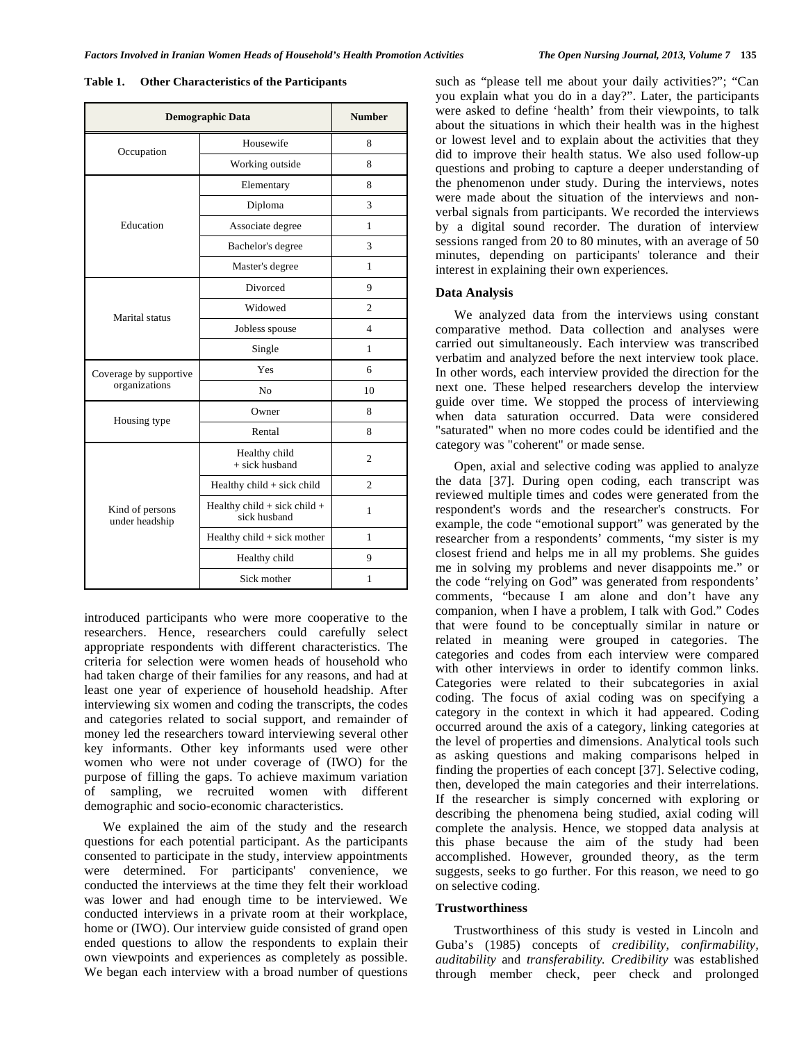| <b>Demographic Data</b>                 | <b>Number</b>                                    |                |
|-----------------------------------------|--------------------------------------------------|----------------|
| Occupation                              | Housewife                                        | 8              |
|                                         | Working outside                                  | 8              |
| Education                               | Elementary                                       | 8              |
|                                         | Diploma                                          | 3              |
|                                         | Associate degree                                 | 1              |
|                                         | Bachelor's degree                                | 3              |
|                                         | Master's degree                                  | 1              |
| Marital status                          | Divorced                                         | 9              |
|                                         | Widowed                                          | 2              |
|                                         | Jobless spouse                                   | 4              |
|                                         | Single                                           | 1              |
| Coverage by supportive<br>organizations | Yes                                              | 6              |
|                                         | N <sub>o</sub>                                   | 10             |
| Housing type                            | Owner                                            | 8              |
|                                         | Rental                                           | 8              |
| Kind of persons<br>under headship       | Healthy child<br>$+$ sick husband                | $\overline{c}$ |
|                                         | Healthy $child + sick$ child                     | $\mathfrak{D}$ |
|                                         | Healthy child $+$ sick child $+$<br>sick husband | 1              |
|                                         | Healthy child + sick mother                      | 1              |
|                                         | Healthy child                                    | 9              |
|                                         | Sick mother                                      | 1              |

**Table 1. Other Characteristics of the Participants** 

introduced participants who were more cooperative to the researchers. Hence, researchers could carefully select appropriate respondents with different characteristics. The criteria for selection were women heads of household who had taken charge of their families for any reasons, and had at least one year of experience of household headship. After interviewing six women and coding the transcripts, the codes and categories related to social support, and remainder of money led the researchers toward interviewing several other key informants. Other key informants used were other women who were not under coverage of (IWO) for the purpose of filling the gaps. To achieve maximum variation of sampling, we recruited women with different demographic and socio-economic characteristics.

 We explained the aim of the study and the research questions for each potential participant. As the participants consented to participate in the study, interview appointments were determined. For participants' convenience, we conducted the interviews at the time they felt their workload was lower and had enough time to be interviewed. We conducted interviews in a private room at their workplace, home or (IWO). Our interview guide consisted of grand open ended questions to allow the respondents to explain their own viewpoints and experiences as completely as possible. We began each interview with a broad number of questions

such as "please tell me about your daily activities?"; "Can you explain what you do in a day?". Later, the participants were asked to define 'health' from their viewpoints, to talk about the situations in which their health was in the highest or lowest level and to explain about the activities that they did to improve their health status. We also used follow-up questions and probing to capture a deeper understanding of the phenomenon under study. During the interviews, notes were made about the situation of the interviews and nonverbal signals from participants. We recorded the interviews by a digital sound recorder. The duration of interview sessions ranged from 20 to 80 minutes, with an average of 50 minutes, depending on participants' tolerance and their interest in explaining their own experiences.

# **Data Analysis**

 We analyzed data from the interviews using constant comparative method. Data collection and analyses were carried out simultaneously. Each interview was transcribed verbatim and analyzed before the next interview took place. In other words, each interview provided the direction for the next one. These helped researchers develop the interview guide over time. We stopped the process of interviewing when data saturation occurred. Data were considered "saturated" when no more codes could be identified and the category was "coherent" or made sense.

 Open, axial and selective coding was applied to analyze the data [37]. During open coding, each transcript was reviewed multiple times and codes were generated from the respondent's words and the researcher's constructs. For example, the code "emotional support" was generated by the researcher from a respondents' comments, "my sister is my closest friend and helps me in all my problems. She guides me in solving my problems and never disappoints me." or the code "relying on God" was generated from respondents' comments, "because I am alone and don't have any companion, when I have a problem, I talk with God." Codes that were found to be conceptually similar in nature or related in meaning were grouped in categories. The categories and codes from each interview were compared with other interviews in order to identify common links. Categories were related to their subcategories in axial coding. The focus of axial coding was on specifying a category in the context in which it had appeared. Coding occurred around the axis of a category, linking categories at the level of properties and dimensions. Analytical tools such as asking questions and making comparisons helped in finding the properties of each concept [37]. Selective coding, then, developed the main categories and their interrelations. If the researcher is simply concerned with exploring or describing the phenomena being studied, axial coding will complete the analysis. Hence, we stopped data analysis at this phase because the aim of the study had been accomplished. However, grounded theory, as the term suggests, seeks to go further. For this reason, we need to go on selective coding.

#### **Trustworthiness**

 Trustworthiness of this study is vested in Lincoln and Guba's (1985) concepts of *credibility*, *confirmability, auditability* and *transferability. Credibility* was established through member check, peer check and prolonged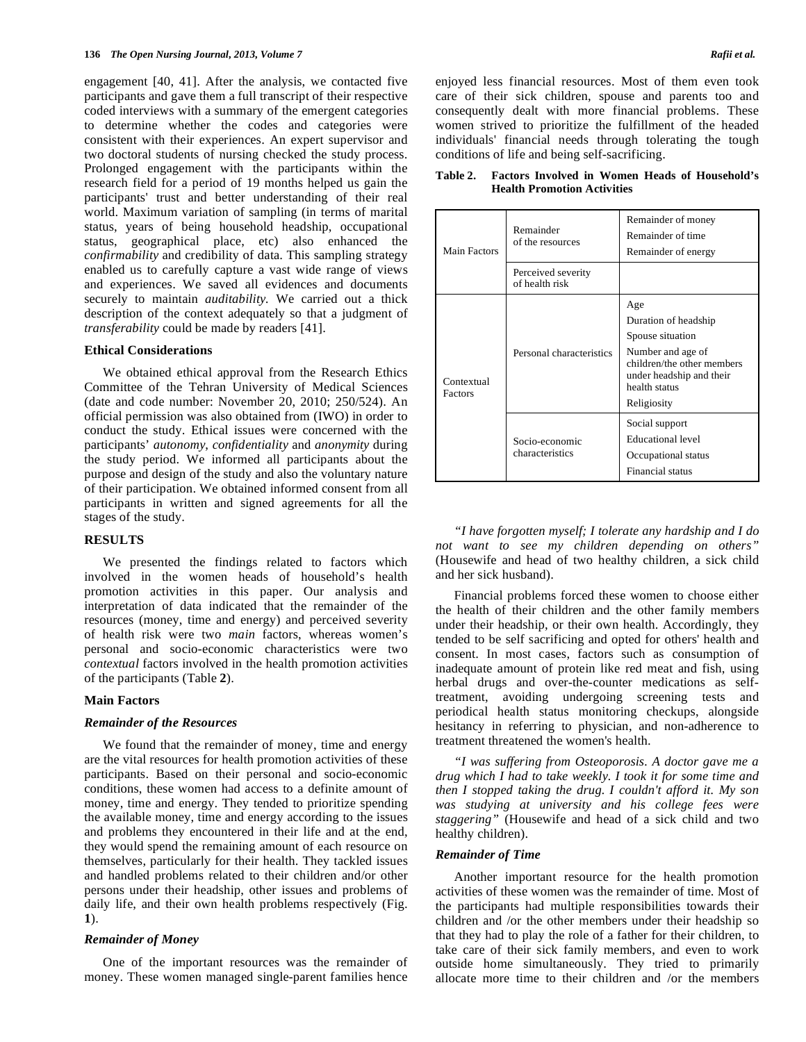engagement [40, 41]. After the analysis, we contacted five participants and gave them a full transcript of their respective coded interviews with a summary of the emergent categories to determine whether the codes and categories were consistent with their experiences. An expert supervisor and two doctoral students of nursing checked the study process. Prolonged engagement with the participants within the research field for a period of 19 months helped us gain the participants' trust and better understanding of their real world. Maximum variation of sampling (in terms of marital status, years of being household headship, occupational status, geographical place, etc) also enhanced the *confirmability* and credibility of data. This sampling strategy enabled us to carefully capture a vast wide range of views and experiences. We saved all evidences and documents securely to maintain *auditability.* We carried out a thick description of the context adequately so that a judgment of *transferability* could be made by readers [41].

## **Ethical Considerations**

 We obtained ethical approval from the Research Ethics Committee of the Tehran University of Medical Sciences (date and code number: November 20, 2010; 250/524). An official permission was also obtained from (IWO) in order to conduct the study. Ethical issues were concerned with the participants' *autonomy*, *confidentiality* and *anonymity* during the study period. We informed all participants about the purpose and design of the study and also the voluntary nature of their participation. We obtained informed consent from all participants in written and signed agreements for all the stages of the study.

## **RESULTS**

 We presented the findings related to factors which involved in the women heads of household's health promotion activities in this paper. Our analysis and interpretation of data indicated that the remainder of the resources (money, time and energy) and perceived severity of health risk were two *main* factors, whereas women's personal and socio-economic characteristics were two *contextual* factors involved in the health promotion activities of the participants (Table **2**).

#### **Main Factors**

## *Remainder of the Resources*

 We found that the remainder of money, time and energy are the vital resources for health promotion activities of these participants. Based on their personal and socio-economic conditions, these women had access to a definite amount of money, time and energy. They tended to prioritize spending the available money, time and energy according to the issues and problems they encountered in their life and at the end, they would spend the remaining amount of each resource on themselves, particularly for their health. They tackled issues and handled problems related to their children and/or other persons under their headship, other issues and problems of daily life, and their own health problems respectively (Fig. **1**).

## *Remainder of Money*

 One of the important resources was the remainder of money. These women managed single-parent families hence enjoyed less financial resources. Most of them even took care of their sick children, spouse and parents too and consequently dealt with more financial problems. These women strived to prioritize the fulfillment of the headed individuals' financial needs through tolerating the tough conditions of life and being self-sacrificing.

| Table 2. | <b>Factors Involved in Women Heads of Household's</b> |  |
|----------|-------------------------------------------------------|--|
|          | <b>Health Promotion Activities</b>                    |  |

| Main Factors          | Remainder<br>of the resources        | Remainder of money<br>Remainder of time<br>Remainder of energy                                                                                                 |
|-----------------------|--------------------------------------|----------------------------------------------------------------------------------------------------------------------------------------------------------------|
|                       | Perceived severity<br>of health risk |                                                                                                                                                                |
| Contextual<br>Factors | Personal characteristics             | Age<br>Duration of headship<br>Spouse situation<br>Number and age of<br>children/the other members<br>under headship and their<br>health status<br>Religiosity |
|                       | Socio-economic<br>characteristics    | Social support<br>Educational level<br>Occupational status<br>Financial status                                                                                 |

*"I have forgotten myself; I tolerate any hardship and I do not want to see my children depending on others"* (Housewife and head of two healthy children, a sick child and her sick husband).

 Financial problems forced these women to choose either the health of their children and the other family members under their headship, or their own health. Accordingly, they tended to be self sacrificing and opted for others' health and consent. In most cases, factors such as consumption of inadequate amount of protein like red meat and fish, using herbal drugs and over-the-counter medications as selftreatment, avoiding undergoing screening tests and periodical health status monitoring checkups, alongside hesitancy in referring to physician, and non-adherence to treatment threatened the women's health.

 *"I was suffering from Osteoporosis. A doctor gave me a drug which I had to take weekly. I took it for some time and then I stopped taking the drug. I couldn't afford it. My son was studying at university and his college fees were staggering"* (Housewife and head of a sick child and two healthy children).

# *Remainder of Time*

 Another important resource for the health promotion activities of these women was the remainder of time. Most of the participants had multiple responsibilities towards their children and /or the other members under their headship so that they had to play the role of a father for their children, to take care of their sick family members, and even to work outside home simultaneously. They tried to primarily allocate more time to their children and /or the members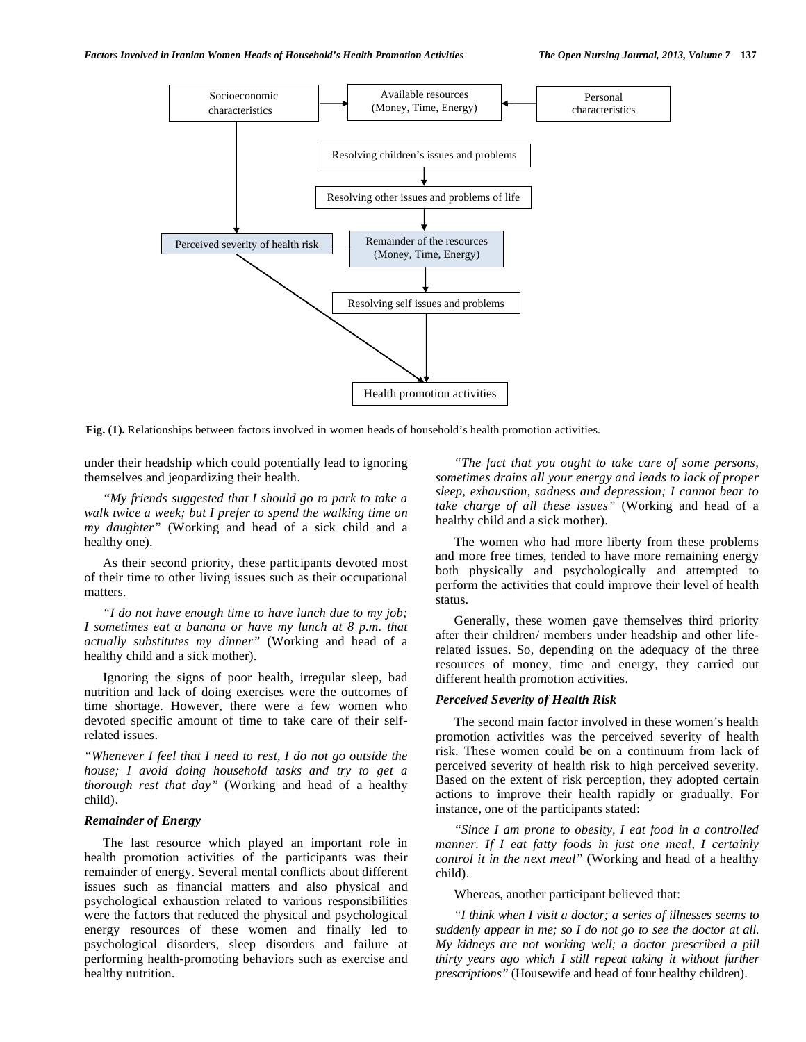

**Fig. (1).** Relationships between factors involved in women heads of household's health promotion activities.

under their headship which could potentially lead to ignoring themselves and jeopardizing their health.

*"My friends suggested that I should go to park to take a walk twice a week; but I prefer to spend the walking time on my daughter"* (Working and head of a sick child and a healthy one).

 As their second priority, these participants devoted most of their time to other living issues such as their occupational matters.

 *"I do not have enough time to have lunch due to my job; I sometimes eat a banana or have my lunch at 8 p.m. that actually substitutes my dinner"* (Working and head of a healthy child and a sick mother).

 Ignoring the signs of poor health, irregular sleep, bad nutrition and lack of doing exercises were the outcomes of time shortage. However, there were a few women who devoted specific amount of time to take care of their selfrelated issues.

*"Whenever I feel that I need to rest, I do not go outside the house; I avoid doing household tasks and try to get a thorough rest that day"* (Working and head of a healthy child).

# *Remainder of Energy*

 The last resource which played an important role in health promotion activities of the participants was their remainder of energy. Several mental conflicts about different issues such as financial matters and also physical and psychological exhaustion related to various responsibilities were the factors that reduced the physical and psychological energy resources of these women and finally led to psychological disorders, sleep disorders and failure at performing health-promoting behaviors such as exercise and healthy nutrition.

 *"The fact that you ought to take care of some persons, sometimes drains all your energy and leads to lack of proper sleep, exhaustion, sadness and depression; I cannot bear to take charge of all these issues"* (Working and head of a healthy child and a sick mother).

 The women who had more liberty from these problems and more free times, tended to have more remaining energy both physically and psychologically and attempted to perform the activities that could improve their level of health status.

 Generally, these women gave themselves third priority after their children/ members under headship and other liferelated issues. So, depending on the adequacy of the three resources of money, time and energy, they carried out different health promotion activities.

#### *Perceived Severity of Health Risk*

 The second main factor involved in these women's health promotion activities was the perceived severity of health risk. These women could be on a continuum from lack of perceived severity of health risk to high perceived severity. Based on the extent of risk perception, they adopted certain actions to improve their health rapidly or gradually. For instance, one of the participants stated:

 *"Since I am prone to obesity, I eat food in a controlled manner. If I eat fatty foods in just one meal, I certainly control it in the next meal"* (Working and head of a healthy child).

Whereas, another participant believed that:

 *"I think when I visit a doctor; a series of illnesses seems to suddenly appear in me; so I do not go to see the doctor at all. My kidneys are not working well; a doctor prescribed a pill thirty years ago which I still repeat taking it without further prescriptions"* (Housewife and head of four healthy children).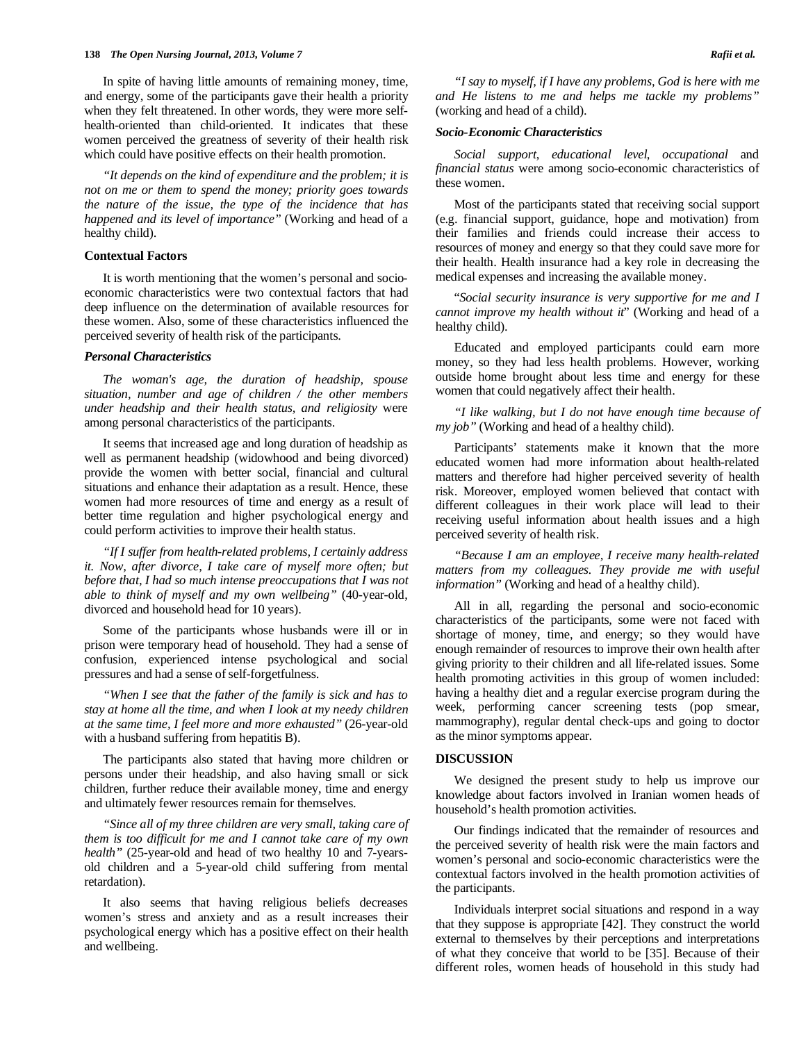In spite of having little amounts of remaining money, time, and energy, some of the participants gave their health a priority when they felt threatened. In other words, they were more selfhealth-oriented than child-oriented. It indicates that these women perceived the greatness of severity of their health risk which could have positive effects on their health promotion.

 *"It depends on the kind of expenditure and the problem; it is not on me or them to spend the money; priority goes towards the nature of the issue, the type of the incidence that has happened and its level of importance"* (Working and head of a healthy child).

#### **Contextual Factors**

 It is worth mentioning that the women's personal and socioeconomic characteristics were two contextual factors that had deep influence on the determination of available resources for these women. Also, some of these characteristics influenced the perceived severity of health risk of the participants.

# *Personal Characteristics*

*The woman's age, the duration of headship, spouse situation, number and age of children / the other members under headship and their health status, and religiosity* were among personal characteristics of the participants.

 It seems that increased age and long duration of headship as well as permanent headship (widowhood and being divorced) provide the women with better social, financial and cultural situations and enhance their adaptation as a result. Hence, these women had more resources of time and energy as a result of better time regulation and higher psychological energy and could perform activities to improve their health status.

 *"If I suffer from health-related problems, I certainly address it. Now, after divorce, I take care of myself more often; but before that, I had so much intense preoccupations that I was not able to think of myself and my own wellbeing"* (40-year-old, divorced and household head for 10 years).

 Some of the participants whose husbands were ill or in prison were temporary head of household. They had a sense of confusion, experienced intense psychological and social pressures and had a sense of self-forgetfulness.

*"When I see that the father of the family is sick and has to stay at home all the time, and when I look at my needy children at the same time, I feel more and more exhausted"* (26-year-old with a husband suffering from hepatitis B).

 The participants also stated that having more children or persons under their headship, and also having small or sick children, further reduce their available money, time and energy and ultimately fewer resources remain for themselves.

*"Since all of my three children are very small, taking care of them is too difficult for me and I cannot take care of my own health"* (25-year-old and head of two healthy 10 and 7-yearsold children and a 5-year-old child suffering from mental retardation).

 It also seems that having religious beliefs decreases women's stress and anxiety and as a result increases their psychological energy which has a positive effect on their health and wellbeing.

*"I say to myself, if I have any problems, God is here with me and He listens to me and helps me tackle my problems"*  (working and head of a child).

# *Socio-Economic Characteristics*

 *Social support*, *educational level*, *occupational* and *financial status* were among socio-economic characteristics of these women.

 Most of the participants stated that receiving social support (e.g. financial support, guidance, hope and motivation) from their families and friends could increase their access to resources of money and energy so that they could save more for their health. Health insurance had a key role in decreasing the medical expenses and increasing the available money.

 "*Social security insurance is very supportive for me and I cannot improve my health without it*" (Working and head of a healthy child).

 Educated and employed participants could earn more money, so they had less health problems. However, working outside home brought about less time and energy for these women that could negatively affect their health.

*"I like walking, but I do not have enough time because of my job"* (Working and head of a healthy child).

 Participants' statements make it known that the more educated women had more information about health-related matters and therefore had higher perceived severity of health risk. Moreover, employed women believed that contact with different colleagues in their work place will lead to their receiving useful information about health issues and a high perceived severity of health risk.

*"Because I am an employee, I receive many health-related matters from my colleagues. They provide me with useful information"* (Working and head of a healthy child).

 All in all, regarding the personal and socio-economic characteristics of the participants, some were not faced with shortage of money, time, and energy; so they would have enough remainder of resources to improve their own health after giving priority to their children and all life-related issues. Some health promoting activities in this group of women included: having a healthy diet and a regular exercise program during the week, performing cancer screening tests (pop smear, mammography), regular dental check-ups and going to doctor as the minor symptoms appear.

# **DISCUSSION**

 We designed the present study to help us improve our knowledge about factors involved in Iranian women heads of household's health promotion activities.

 Our findings indicated that the remainder of resources and the perceived severity of health risk were the main factors and women's personal and socio-economic characteristics were the contextual factors involved in the health promotion activities of the participants.

 Individuals interpret social situations and respond in a way that they suppose is appropriate [42]. They construct the world external to themselves by their perceptions and interpretations of what they conceive that world to be [35]. Because of their different roles, women heads of household in this study had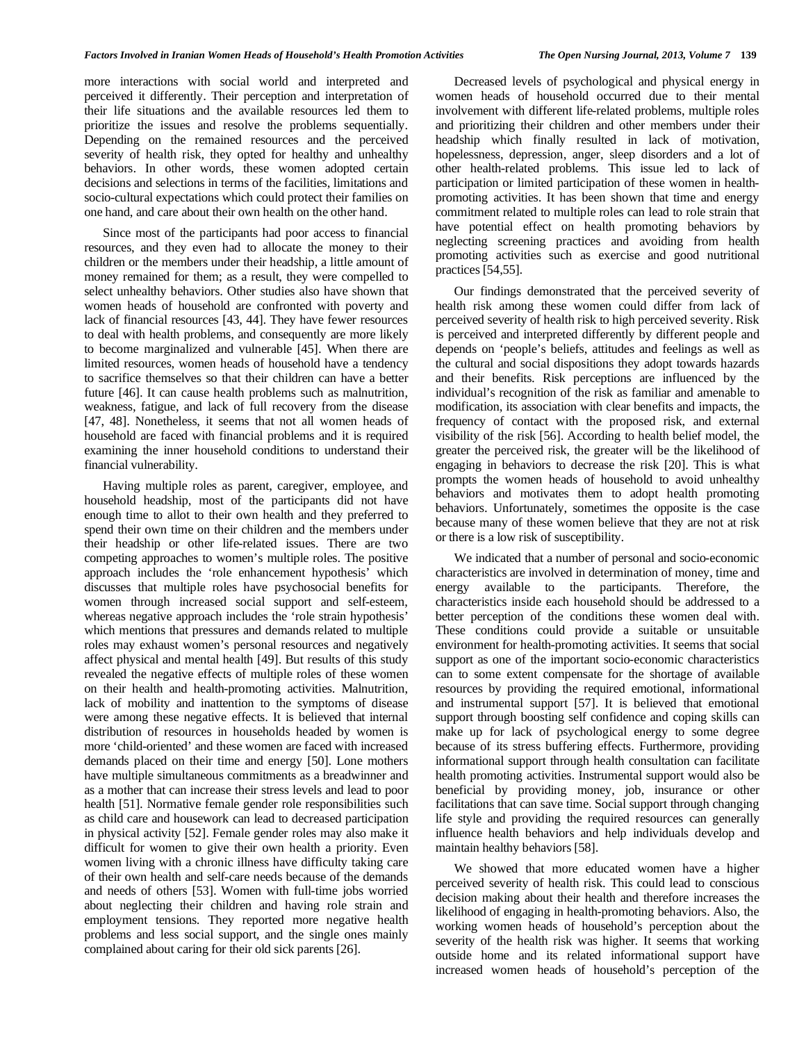more interactions with social world and interpreted and perceived it differently. Their perception and interpretation of their life situations and the available resources led them to prioritize the issues and resolve the problems sequentially. Depending on the remained resources and the perceived severity of health risk, they opted for healthy and unhealthy behaviors. In other words, these women adopted certain decisions and selections in terms of the facilities, limitations and socio-cultural expectations which could protect their families on one hand, and care about their own health on the other hand.

 Since most of the participants had poor access to financial resources, and they even had to allocate the money to their children or the members under their headship, a little amount of money remained for them; as a result, they were compelled to select unhealthy behaviors. Other studies also have shown that women heads of household are confronted with poverty and lack of financial resources [43, 44]. They have fewer resources to deal with health problems, and consequently are more likely to become marginalized and vulnerable [45]. When there are limited resources, women heads of household have a tendency to sacrifice themselves so that their children can have a better future [46]. It can cause health problems such as malnutrition, weakness, fatigue, and lack of full recovery from the disease [47, 48]. Nonetheless, it seems that not all women heads of household are faced with financial problems and it is required examining the inner household conditions to understand their financial vulnerability.

 Having multiple roles as parent, caregiver, employee, and household headship, most of the participants did not have enough time to allot to their own health and they preferred to spend their own time on their children and the members under their headship or other life-related issues. There are two competing approaches to women's multiple roles. The positive approach includes the 'role enhancement hypothesis' which discusses that multiple roles have psychosocial benefits for women through increased social support and self-esteem, whereas negative approach includes the 'role strain hypothesis' which mentions that pressures and demands related to multiple roles may exhaust women's personal resources and negatively affect physical and mental health [49]. But results of this study revealed the negative effects of multiple roles of these women on their health and health-promoting activities. Malnutrition, lack of mobility and inattention to the symptoms of disease were among these negative effects. It is believed that internal distribution of resources in households headed by women is more 'child-oriented' and these women are faced with increased demands placed on their time and energy [50]. Lone mothers have multiple simultaneous commitments as a breadwinner and as a mother that can increase their stress levels and lead to poor health [51]. Normative female gender role responsibilities such as child care and housework can lead to decreased participation in physical activity [52]. Female gender roles may also make it difficult for women to give their own health a priority. Even women living with a chronic illness have difficulty taking care of their own health and self-care needs because of the demands and needs of others [53]. Women with full-time jobs worried about neglecting their children and having role strain and employment tensions. They reported more negative health problems and less social support, and the single ones mainly complained about caring for their old sick parents [26].

 Decreased levels of psychological and physical energy in women heads of household occurred due to their mental involvement with different life-related problems, multiple roles and prioritizing their children and other members under their headship which finally resulted in lack of motivation, hopelessness, depression, anger, sleep disorders and a lot of other health-related problems. This issue led to lack of participation or limited participation of these women in healthpromoting activities. It has been shown that time and energy commitment related to multiple roles can lead to role strain that have potential effect on health promoting behaviors by neglecting screening practices and avoiding from health promoting activities such as exercise and good nutritional practices [54,55].

 Our findings demonstrated that the perceived severity of health risk among these women could differ from lack of perceived severity of health risk to high perceived severity. Risk is perceived and interpreted differently by different people and depends on 'people's beliefs, attitudes and feelings as well as the cultural and social dispositions they adopt towards hazards and their benefits. Risk perceptions are influenced by the individual's recognition of the risk as familiar and amenable to modification, its association with clear benefits and impacts, the frequency of contact with the proposed risk, and external visibility of the risk [56]. According to health belief model, the greater the perceived risk, the greater will be the likelihood of engaging in behaviors to decrease the risk [20]. This is what prompts the women heads of household to avoid unhealthy behaviors and motivates them to adopt health promoting behaviors. Unfortunately, sometimes the opposite is the case because many of these women believe that they are not at risk or there is a low risk of susceptibility.

 We indicated that a number of personal and socio-economic characteristics are involved in determination of money, time and energy available to the participants. Therefore, the characteristics inside each household should be addressed to a better perception of the conditions these women deal with. These conditions could provide a suitable or unsuitable environment for health-promoting activities. It seems that social support as one of the important socio-economic characteristics can to some extent compensate for the shortage of available resources by providing the required emotional, informational and instrumental support [57]. It is believed that emotional support through boosting self confidence and coping skills can make up for lack of psychological energy to some degree because of its stress buffering effects. Furthermore, providing informational support through health consultation can facilitate health promoting activities. Instrumental support would also be beneficial by providing money, job, insurance or other facilitations that can save time. Social support through changing life style and providing the required resources can generally influence health behaviors and help individuals develop and maintain healthy behaviors [58].

 We showed that more educated women have a higher perceived severity of health risk. This could lead to conscious decision making about their health and therefore increases the likelihood of engaging in health-promoting behaviors. Also, the working women heads of household's perception about the severity of the health risk was higher. It seems that working outside home and its related informational support have increased women heads of household's perception of the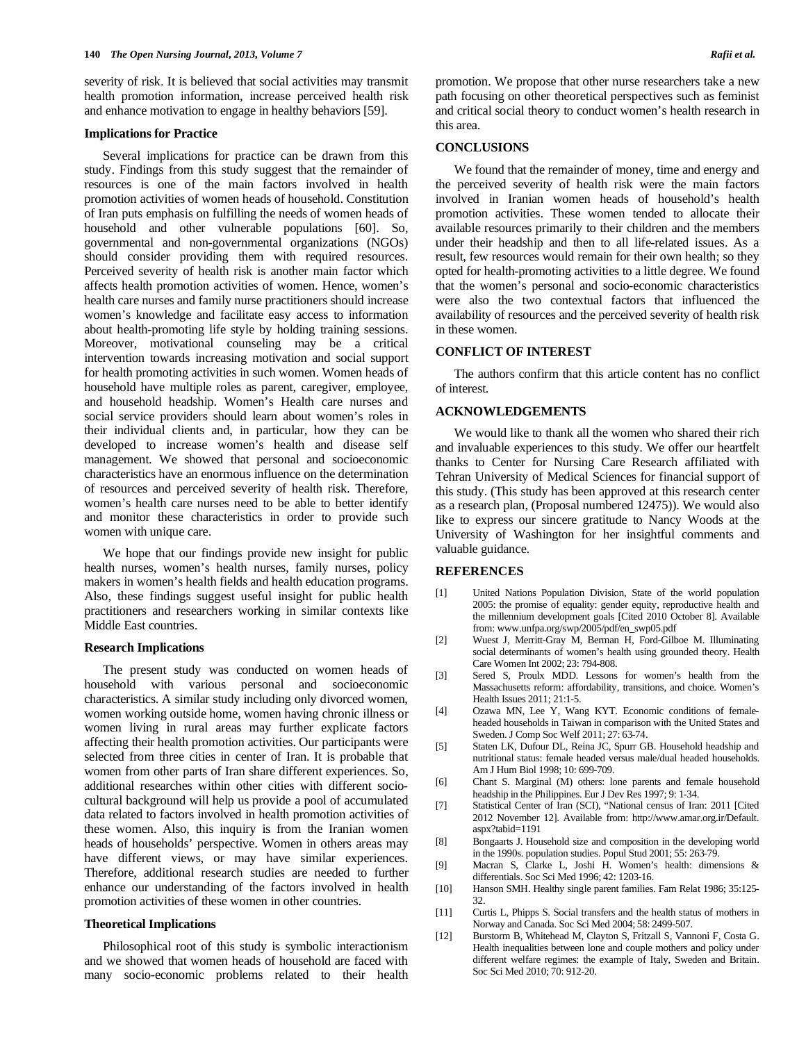severity of risk. It is believed that social activities may transmit health promotion information, increase perceived health risk and enhance motivation to engage in healthy behaviors [59].

#### **Implications for Practice**

 Several implications for practice can be drawn from this study. Findings from this study suggest that the remainder of resources is one of the main factors involved in health promotion activities of women heads of household. Constitution of Iran puts emphasis on fulfilling the needs of women heads of household and other vulnerable populations [60]. So, governmental and non-governmental organizations (NGOs) should consider providing them with required resources. Perceived severity of health risk is another main factor which affects health promotion activities of women. Hence, women's health care nurses and family nurse practitioners should increase women's knowledge and facilitate easy access to information about health-promoting life style by holding training sessions. Moreover, motivational counseling may be a critical intervention towards increasing motivation and social support for health promoting activities in such women. Women heads of household have multiple roles as parent, caregiver, employee, and household headship. Women's Health care nurses and social service providers should learn about women's roles in their individual clients and, in particular, how they can be developed to increase women's health and disease self management. We showed that personal and socioeconomic characteristics have an enormous influence on the determination of resources and perceived severity of health risk. Therefore, women's health care nurses need to be able to better identify and monitor these characteristics in order to provide such women with unique care.

 We hope that our findings provide new insight for public health nurses, women's health nurses, family nurses, policy makers in women's health fields and health education programs. Also, these findings suggest useful insight for public health practitioners and researchers working in similar contexts like Middle East countries.

#### **Research Implications**

 The present study was conducted on women heads of household with various personal and socioeconomic characteristics. A similar study including only divorced women, women working outside home, women having chronic illness or women living in rural areas may further explicate factors affecting their health promotion activities. Our participants were selected from three cities in center of Iran. It is probable that women from other parts of Iran share different experiences. So, additional researches within other cities with different sociocultural background will help us provide a pool of accumulated data related to factors involved in health promotion activities of these women. Also, this inquiry is from the Iranian women heads of households' perspective. Women in others areas may have different views, or may have similar experiences. Therefore, additional research studies are needed to further enhance our understanding of the factors involved in health promotion activities of these women in other countries.

# **Theoretical Implications**

 Philosophical root of this study is symbolic interactionism and we showed that women heads of household are faced with many socio-economic problems related to their health

promotion. We propose that other nurse researchers take a new path focusing on other theoretical perspectives such as feminist and critical social theory to conduct women's health research in this area.

#### **CONCLUSIONS**

 We found that the remainder of money, time and energy and the perceived severity of health risk were the main factors involved in Iranian women heads of household's health promotion activities. These women tended to allocate their available resources primarily to their children and the members under their headship and then to all life-related issues. As a result, few resources would remain for their own health; so they opted for health-promoting activities to a little degree. We found that the women's personal and socio-economic characteristics were also the two contextual factors that influenced the availability of resources and the perceived severity of health risk in these women.

# **CONFLICT OF INTEREST**

 The authors confirm that this article content has no conflict of interest.

# **ACKNOWLEDGEMENTS**

 We would like to thank all the women who shared their rich and invaluable experiences to this study. We offer our heartfelt thanks to Center for Nursing Care Research affiliated with Tehran University of Medical Sciences for financial support of this study. (This study has been approved at this research center as a research plan, (Proposal numbered 12475)). We would also like to express our sincere gratitude to Nancy Woods at the University of Washington for her insightful comments and valuable guidance.

### **REFERENCES**

- [1] United Nations Population Division, State of the world population 2005: the promise of equality: gender equity, reproductive health and the millennium development goals [Cited 2010 October 8]. Available from: www.unfpa.org/swp/2005/pdf/en\_swp05.pdf
- [2] Wuest J, Merritt-Gray M, Berman H, Ford-Gilboe M. Illuminating social determinants of women's health using grounded theory. Health Care Women Int 2002; 23: 794-808.
- [3] Sered S, Proulx MDD. Lessons for women's health from the Massachusetts reform: affordability, transitions, and choice. Women's Health Issues 2011; 21:1-5.
- [4] Ozawa MN, Lee Y, Wang KYT. Economic conditions of femaleheaded households in Taiwan in comparison with the United States and Sweden. J Comp Soc Welf 2011; 27: 63-74.
- [5] Staten LK, Dufour DL, Reina JC, Spurr GB. Household headship and nutritional status: female headed versus male/dual headed households. Am J Hum Biol 1998; 10: 699-709.
- [6] Chant S. Marginal (M) others: lone parents and female household headship in the Philippines. Eur J Dev Res 1997; 9: 1-34.
- [7] Statistical Center of Iran (SCI), "National census of Iran: 2011 [Cited 2012 November 12]. Available from: http://www.amar.org.ir/Default. aspx?tabid=1191
- [8] Bongaarts J. Household size and composition in the developing world in the 1990s. population studies. Popul Stud 2001; 55: 263-79.
- [9] Macran S, Clarke L, Joshi H. Women's health: dimensions & differentials. Soc Sci Med 1996; 42: 1203-16.
- [10] Hanson SMH. Healthy single parent families. Fam Relat 1986; 35:125- 32.
- [11] Curtis L, Phipps S. Social transfers and the health status of mothers in Norway and Canada. Soc Sci Med 2004; 58: 2499-507.
- [12] Burstorm B, Whitehead M, Clayton S, Fritzall S, Vannoni F, Costa G. Health inequalities between lone and couple mothers and policy under different welfare regimes: the example of Italy, Sweden and Britain. Soc Sci Med 2010; 70: 912-20.